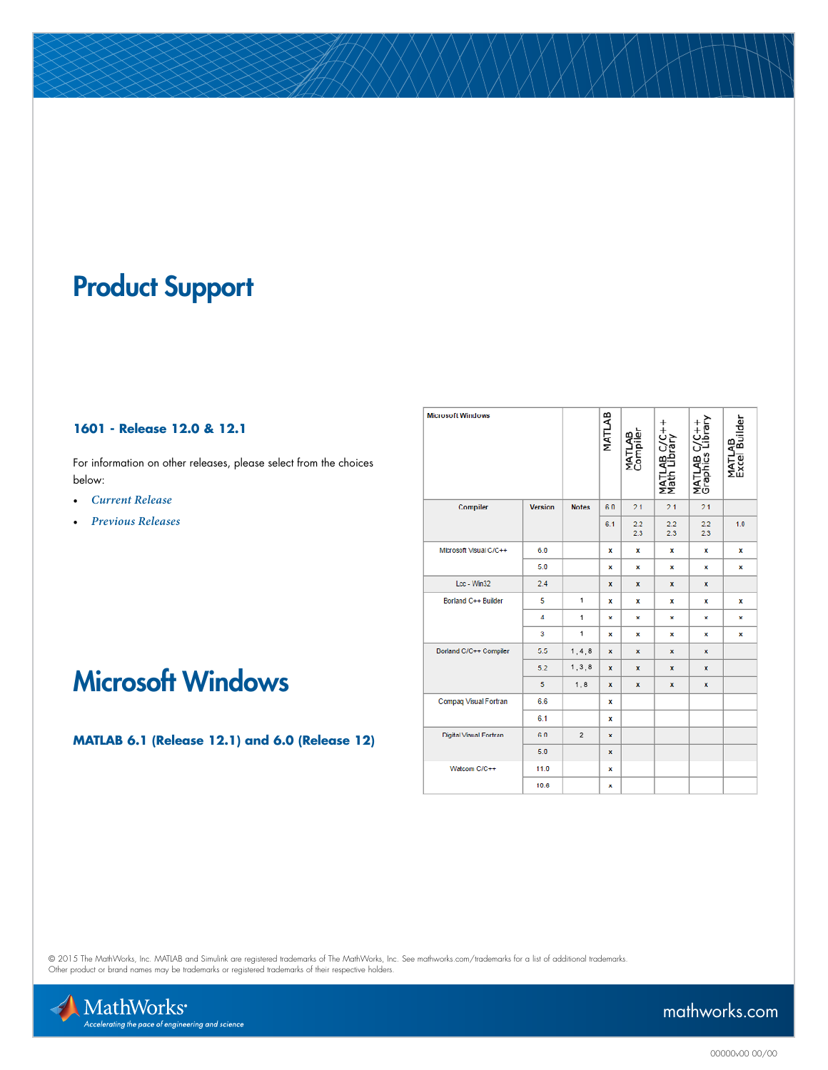# Product Support

#### **1601 - Release 12.0 & 12.1**

For information on other releases, please select from the choices below:

- *[Current Release](http://www.mathworks.com/support/compilers/current_release/)*
- *[Previous Releases](http://www.mathworks.com/support/sysreq/previous_releases.html)*

| <b>Microsoft Windows</b> |                |                | MATLAB | <b>MATLAB</b><br>Compiler | AB C/C++<br>Library<br><b>Matl</b><br>ăλ | Vibrary<br>Library<br>MATLAB<br>Graphics I | MATLAB<br>Excel Builder |
|--------------------------|----------------|----------------|--------|---------------------------|------------------------------------------|--------------------------------------------|-------------------------|
| Compiler                 | <b>Version</b> | <b>Notes</b>   | 60     | 21                        | 21                                       | 21                                         |                         |
|                          |                |                | 6.1    | 2.2<br>2.3                | 2.2<br>2.3                               | 2.2<br>2.3                                 | 1.0                     |
| Microsoft Visual C/C++   | 6.0            |                | x      | x                         | x                                        | x                                          | x                       |
|                          | 5.0            |                | x      | x                         | x                                        | x                                          | x                       |
| Lcc - Win32              | 2.4            |                | x      | x                         | x                                        | x                                          |                         |
| Borland C++ Builder      | 5              | $\mathbf{1}$   | x      | x                         | x                                        | x                                          | x                       |
|                          | 4              | $\mathbf{1}$   | x      | x                         | x                                        | x                                          | x                       |
|                          | 3              | $\overline{1}$ | ×      | ×                         | ×                                        | ×                                          | ×                       |
| Dorland C/C++ Compiler   | 5.5            | 1, 4, 8        | x      | x                         | x                                        | x                                          |                         |
|                          | 5.2            | 1, 3, 8        | x      | x                         | x                                        | x                                          |                         |
|                          | 5              | 1,8            | x      | x                         | x                                        | x                                          |                         |
| Compaq Visual Fortran    | 6.6            |                | x      |                           |                                          |                                            |                         |
|                          | 6.1            |                | x      |                           |                                          |                                            |                         |
| Digital Visual Fortran   | 60             | $\overline{2}$ | x      |                           |                                          |                                            |                         |
|                          | 5.0            |                | ×      |                           |                                          |                                            |                         |
| Watcom C/C++             | 11.0           |                | x      |                           |                                          |                                            |                         |
|                          | 10.6           |                | х      |                           |                                          |                                            |                         |

## Microsoft Windows

**MATLAB 6.1 (Release 12.1) and 6.0 (Release 12)**

© 2015 The MathWorks, Inc. MATLAB and Simulink are registered trademarks of The MathWorks, Inc. See [mathworks.com/trademarks](http://www.mathworks.com/trademarks) for a list of additional trademarks.<br>Other product or brand names may be trademarks or registered



[mathworks.com](http://www.mathworks.com)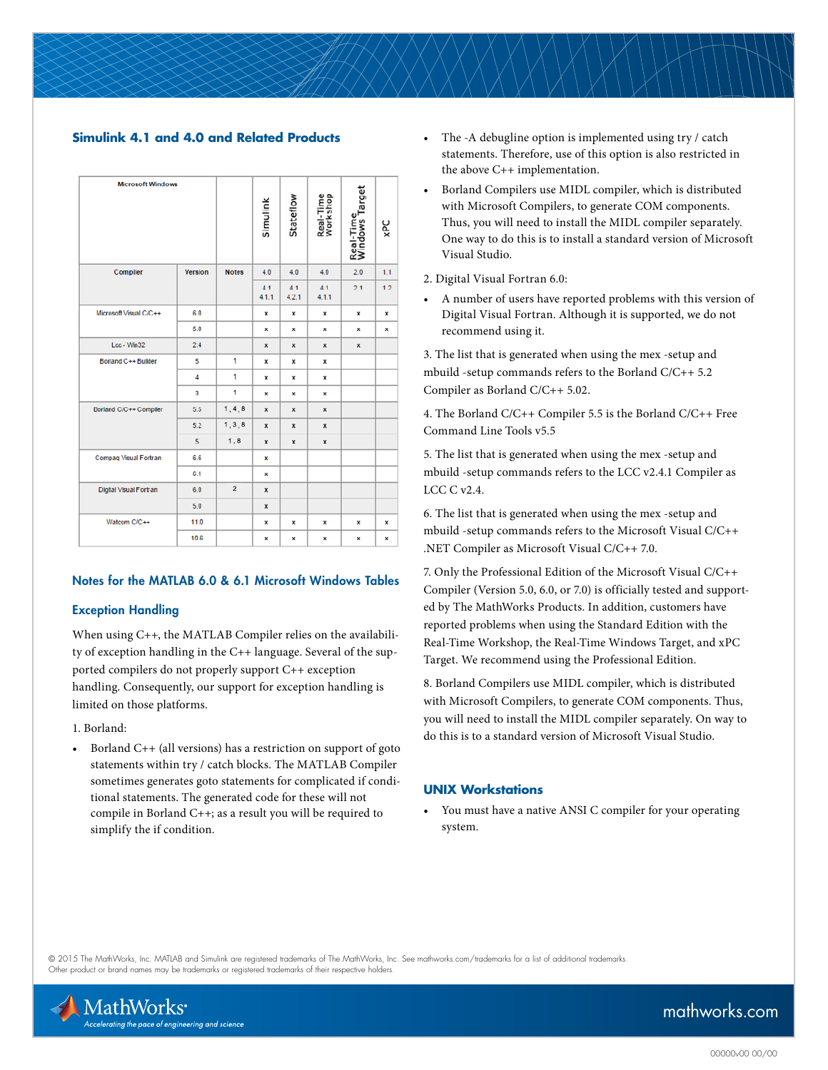#### **Simulink 4.1 and 4.0 and Related Products**

| <b>Microsoft Windows</b>      |                |                | Simulink     | Stateflow    | Real-Time<br>Workshop | Real-Time<br>Windows Target | χPC |
|-------------------------------|----------------|----------------|--------------|--------------|-----------------------|-----------------------------|-----|
| Compiler                      | <b>Version</b> | <b>Notes</b>   | 4.0          | 4.0          | 4.0                   | 2.0                         | 1.1 |
|                               |                |                | 4.1<br>4.1.1 | 41<br>4.2.1  | 4.1<br>4.1.1          | 2.1                         | 12  |
| Microsoft Visual C/C++        | 60             |                | x            | x            | x                     | x                           | x   |
|                               | 5.0            |                | ×            | ×            | ×                     | ×                           | ×   |
| Lcc - Win32                   | 2.4            |                | ×            | $\mathbf{x}$ | $\mathbf{x}$          | ×                           |     |
| <b>Borland C++ Builder</b>    | 5              | $\mathbf{1}$   | x            | x            | x                     |                             |     |
|                               | 4              | $\mathbf{1}$   | x            | x            | x                     |                             |     |
|                               | 3              | $\mathbf{1}$   | ×            | ×            | ×                     |                             |     |
| Borland C/C++ Compiler        | 5.5            | 1, 4, 8        | ×            | $\mathbf x$  | ×                     |                             |     |
|                               | 5.2            | 1, 3, 8        | x            | x            | x                     |                             |     |
|                               | 5              | 1, 8           | x            | x            | ×                     |                             |     |
| Compaq Visual Fortran         | 6.6            |                | ×            |              |                       |                             |     |
|                               | 6.1            |                | ×            |              |                       |                             |     |
| <b>Digital Visual Fortran</b> | 6.0            | $\overline{2}$ | x            |              |                       |                             |     |
|                               | 5.0            |                | x            |              |                       |                             |     |
| Watcom C/C++                  | 11.0           |                | ×            | x            | ×                     | x                           | x   |
|                               | 10.6           |                | ×            | ×            | ×                     | ×                           | ×   |

#### Notes for the MATLAB 6.0 & 6.1 Microsoft Windows Tables

#### Exception Handling

When using C++, the MATLAB Compiler relies on the availability of exception handling in the C++ language. Several of the supported compilers do not properly support C++ exception handling. Consequently, our support for exception handling is limited on those platforms.

1. Borland:

• Borland C++ (all versions) has a restriction on support of goto statements within try / catch blocks. The MATLAB Compiler sometimes generates goto statements for complicated if conditional statements. The generated code for these will not compile in Borland C++; as a result you will be required to simplify the if condition.

- The -A debugline option is implemented using try / catch statements. Therefore, use of this option is also restricted in the above C++ implementation.
- Borland Compilers use MIDL compiler, which is distributed with Microsoft Compilers, to generate COM components. Thus, you will need to install the MIDL compiler separately. One way to do this is to install a standard version of Microsoft Visual Studio.

2. Digital Visual Fortran 6.0:

• A number of users have reported problems with this version of Digital Visual Fortran. Although it is supported, we do not recommend using it.

3. The list that is generated when using the mex -setup and mbuild -setup commands refers to the Borland C/C++ 5.2 Compiler as Borland C/C++ 5.02.

4. The Borland C/C++ Compiler 5.5 is the Borland C/C++ Free Command Line Tools v5.5

5. The list that is generated when using the mex -setup and mbuild -setup commands refers to the LCC v2.4.1 Compiler as LCC C v2.4.

6. The list that is generated when using the mex -setup and mbuild -setup commands refers to the Microsoft Visual C/C++ .NET Compiler as Microsoft Visual C/C++ 7.0.

7. Only the Professional Edition of the Microsoft Visual C/C++ Compiler (Version 5.0, 6.0, or 7.0) is officially tested and supported by The MathWorks Products. In addition, customers have reported problems when using the Standard Edition with the Real-Time Workshop, the Real-Time Windows Target, and xPC Target. We recommend using the Professional Edition.

8. Borland Compilers use MIDL compiler, which is distributed with Microsoft Compilers, to generate COM components. Thus, you will need to install the MIDL compiler separately. On way to do this is to a standard version of Microsoft Visual Studio.

#### **UNIX Workstations**

• You must have a native ANSI C compiler for your operating system.

© 2015 The MathWorks, Inc. MATLAB and Simulink are registered trademarks of The MathWorks, Inc. See [mathworks.com/trademarks](http://www.mathworks.com/trademarks) for a list of additional trademarks. Other product or brand names may be trademarks or registered trademarks of their respective holders.



### [mathworks.com](http://www.mathworks.com)